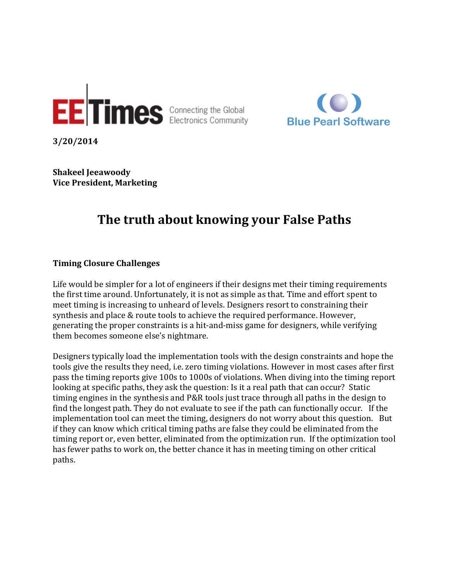



**3/20/2014**

**Shakeel Jeeawoody Vice President, Marketing**

# **The truth about knowing your False Paths**

## **Timing Closure Challenges**

Life would be simpler for a lot of engineers if their designs met their timing requirements the first time around. Unfortunately, it is not as simple as that. Time and effort spent to meet timing is increasing to unheard of levels. Designers resort to constraining their synthesis and place & route tools to achieve the required performance. However, generating the proper constraints is a hit-and-miss game for designers, while verifying them becomes someone else's nightmare.

Designers typically load the implementation tools with the design constraints and hope the tools give the results they need, i.e. zero timing violations. However in most cases after first pass the timing reports give 100s to 1000s of violations. When diving into the timing report looking at specific paths, they ask the question: Is it a real path that can occur? Static timing engines in the synthesis and P&R tools just trace through all paths in the design to find the longest path. They do not evaluate to see if the path can functionally occur. If the implementation tool can meet the timing, designers do not worry about this question. But if they can know which critical timing paths are false they could be eliminated from the timing report or, even better, eliminated from the optimization run. If the optimization tool has fewer paths to work on, the better chance it has in meeting timing on other critical paths.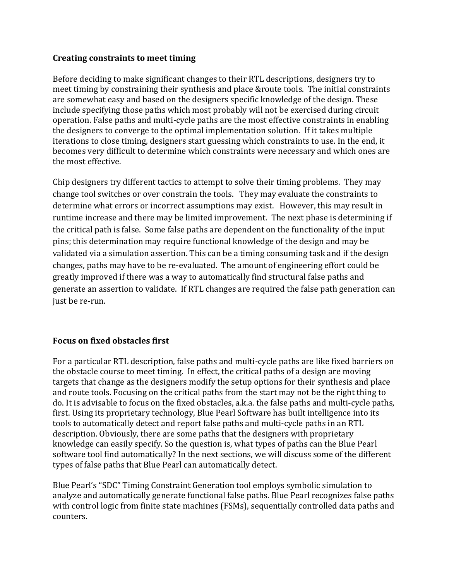## **Creating constraints to meet timing**

Before deciding to make significant changes to their RTL descriptions, designers try to meet timing by constraining their synthesis and place &route tools. The initial constraints are somewhat easy and based on the designers specific knowledge of the design. These include specifying those paths which most probably will not be exercised during circuit operation. False paths and multi-cycle paths are the most effective constraints in enabling the designers to converge to the optimal implementation solution. If it takes multiple iterations to close timing, designers start guessing which constraints to use. In the end, it becomes very difficult to determine which constraints were necessary and which ones are the most effective.

Chip designers try different tactics to attempt to solve their timing problems. They may change tool switches or over constrain the tools. They may evaluate the constraints to determine what errors or incorrect assumptions may exist. However, this may result in runtime increase and there may be limited improvement. The next phase is determining if the critical path is false. Some false paths are dependent on the functionality of the input pins; this determination may require functional knowledge of the design and may be validated via a simulation assertion. This can be a timing consuming task and if the design changes, paths may have to be re-evaluated. The amount of engineering effort could be greatly improved if there was a way to automatically find structural false paths and generate an assertion to validate. If RTL changes are required the false path generation can just be re-run.

## **Focus on fixed obstacles first**

For a particular RTL description, false paths and multi-cycle paths are like fixed barriers on the obstacle course to meet timing. In effect, the critical paths of a design are moving targets that change as the designers modify the setup options for their synthesis and place and route tools. Focusing on the critical paths from the start may not be the right thing to do. It is advisable to focus on the fixed obstacles, a.k.a. the false paths and multi-cycle paths, first. Using its proprietary technology, Blue Pearl Software has built intelligence into its tools to automatically detect and report false paths and multi-cycle paths in an RTL description. Obviously, there are some paths that the designers with proprietary knowledge can easily specify. So the question is, what types of paths can the Blue Pearl software tool find automatically? In the next sections, we will discuss some of the different types of false paths that Blue Pearl can automatically detect.

Blue Pearl's "SDC" Timing Constraint Generation tool employs symbolic simulation to analyze and automatically generate functional false paths. Blue Pearl recognizes false paths with control logic from finite state machines (FSMs), sequentially controlled data paths and counters.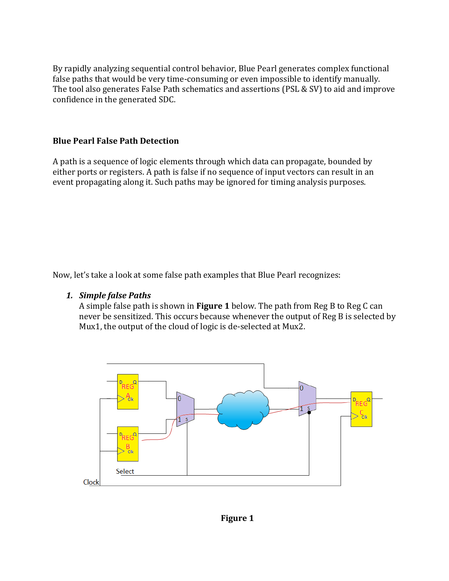By rapidly analyzing sequential control behavior, Blue Pearl generates complex functional false paths that would be very time-consuming or even impossible to identify manually. The tool also generates False Path schematics and assertions (PSL & SV) to aid and improve confidence in the generated SDC.

# **Blue Pearl False Path Detection**

A path is a sequence of logic elements through which data can propagate, bounded by either ports or registers. A path is false if no sequence of input vectors can result in an event propagating along it. Such paths may be ignored for timing analysis purposes.

Now, let's take a look at some false path examples that Blue Pearl recognizes:

## *1. Simple false Paths*

A simple false path is shown in **Figure 1** below. The path from Reg B to Reg C can never be sensitized. This occurs because whenever the output of Reg B is selected by Mux1, the output of the cloud of logic is de-selected at Mux2.

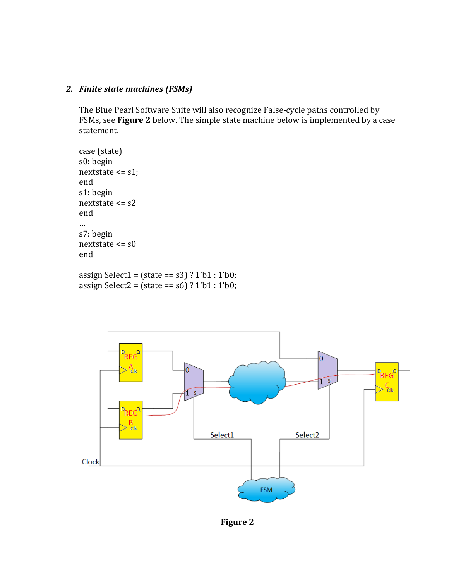## *2. Finite state machines (FSMs)*

The Blue Pearl Software Suite will also recognize False-cycle paths controlled by FSMs, see **Figure 2** below. The simple state machine below is implemented by a case statement.

```
case (state)
s0: begin
nextstate <= s1;
end
s1: begin
nextstate <= s2
end
…
s7: begin
nextstate <= s0
end
```
assign Select1 =  $(state == s3)$  ? 1'b1 : 1'b0; assign Select2 = (state == s6) ? 1'b1 : 1'b0;



**Figure 2**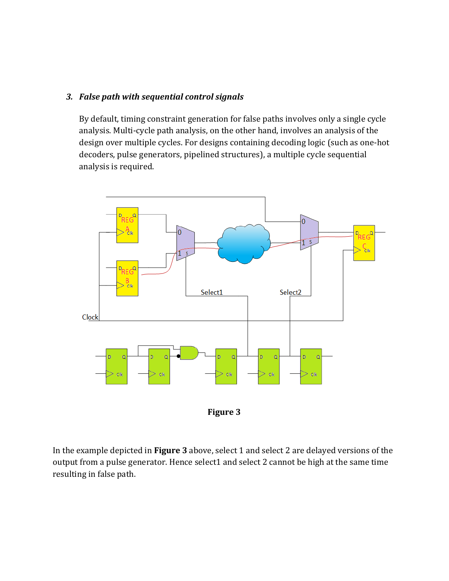## *3. False path with sequential control signals*

By default, timing constraint generation for false paths involves only a single cycle analysis. Multi-cycle path analysis, on the other hand, involves an analysis of the design over multiple cycles. For designs containing decoding logic (such as one-hot decoders, pulse generators, pipelined structures), a multiple cycle sequential analysis is required.



**Figure 3**

In the example depicted in **Figure 3** above, select 1 and select 2 are delayed versions of the output from a pulse generator. Hence select1 and select 2 cannot be high at the same time resulting in false path.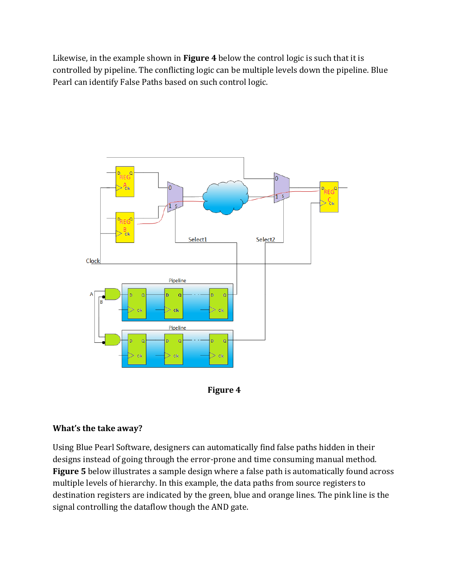Likewise, in the example shown in **Figure 4** below the control logic is such that it is controlled by pipeline. The conflicting logic can be multiple levels down the pipeline. Blue Pearl can identify False Paths based on such control logic.





## **What's the take away?**

Using Blue Pearl Software, designers can automatically find false paths hidden in their designs instead of going through the error-prone and time consuming manual method. **Figure 5** below illustrates a sample design where a false path is automatically found across multiple levels of hierarchy. In this example, the data paths from source registers to destination registers are indicated by the green, blue and orange lines. The pink line is the signal controlling the dataflow though the AND gate.